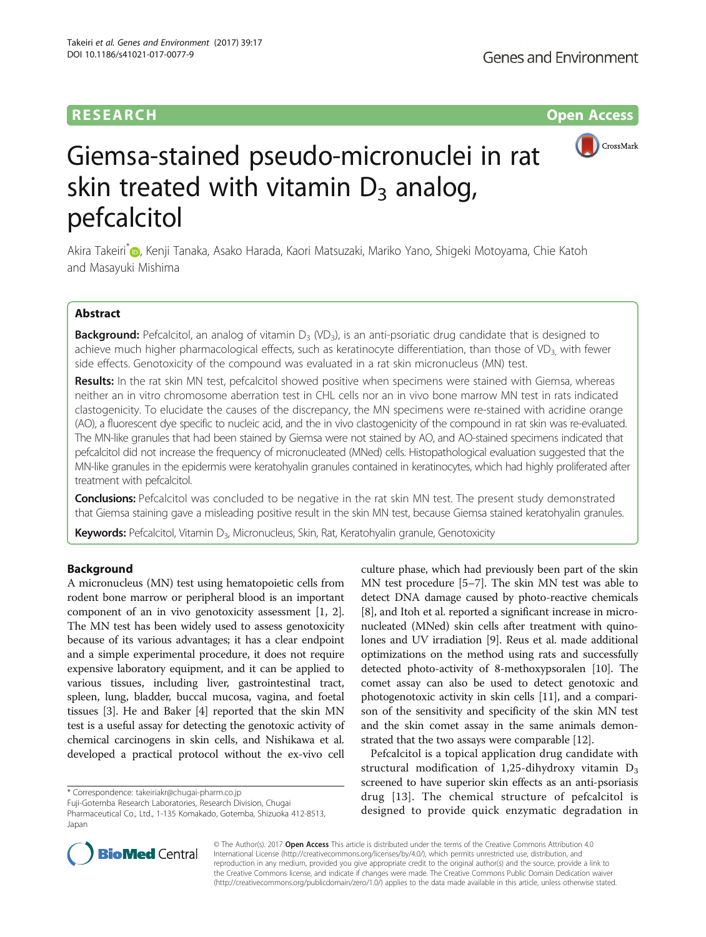# **RESEARCH CHINESE ARCH CHINESE ARCH CHINESE ARCH**



# Giemsa-stained pseudo-micronuclei in rat skin treated with vitamin  $D_3$  analog, pefcalcitol

Akira Takeiri<sup>[\\*](http://orcid.org/0000-0002-5230-3850)</sup> , Kenji Tanaka, Asako Harada, Kaori Matsuzaki, Mariko Yano, Shigeki Motoyama, Chie Katoh and Masayuki Mishima

## Abstract

**Background:** Pefcalcitol, an analog of vitamin  $D_3$  (VD<sub>3</sub>), is an anti-psoriatic drug candidate that is designed to achieve much higher pharmacological effects, such as keratinocyte differentiation, than those of VD<sub>3</sub>, with fewer side effects. Genotoxicity of the compound was evaluated in a rat skin micronucleus (MN) test.

Results: In the rat skin MN test, pefcalcitol showed positive when specimens were stained with Giemsa, whereas neither an in vitro chromosome aberration test in CHL cells nor an in vivo bone marrow MN test in rats indicated clastogenicity. To elucidate the causes of the discrepancy, the MN specimens were re-stained with acridine orange (AO), a fluorescent dye specific to nucleic acid, and the in vivo clastogenicity of the compound in rat skin was re-evaluated. The MN-like granules that had been stained by Giemsa were not stained by AO, and AO-stained specimens indicated that pefcalcitol did not increase the frequency of micronucleated (MNed) cells. Histopathological evaluation suggested that the MN-like granules in the epidermis were keratohyalin granules contained in keratinocytes, which had highly proliferated after treatment with pefcalcitol.

**Conclusions:** Pefcalcitol was concluded to be negative in the rat skin MN test. The present study demonstrated that Giemsa staining gave a misleading positive result in the skin MN test, because Giemsa stained keratohyalin granules.

Keywords: Pefcalcitol, Vitamin D<sub>3</sub>, Micronucleus, Skin, Rat, Keratohyalin granule, Genotoxicity

## Background

A micronucleus (MN) test using hematopoietic cells from rodent bone marrow or peripheral blood is an important component of an in vivo genotoxicity assessment [\[1](#page-6-0), [2](#page-6-0)]. The MN test has been widely used to assess genotoxicity because of its various advantages; it has a clear endpoint and a simple experimental procedure, it does not require expensive laboratory equipment, and it can be applied to various tissues, including liver, gastrointestinal tract, spleen, lung, bladder, buccal mucosa, vagina, and foetal tissues [[3\]](#page-6-0). He and Baker [[4\]](#page-6-0) reported that the skin MN test is a useful assay for detecting the genotoxic activity of chemical carcinogens in skin cells, and Nishikawa et al. developed a practical protocol without the ex-vivo cell

\* Correspondence: [takeiriakr@chugai-pharm.co.jp](mailto:takeiriakr@chugai-pharm.co.jp)

Fuji-Gotemba Research Laboratories, Research Division, Chugai

culture phase, which had previously been part of the skin MN test procedure [\[5](#page-6-0)–[7\]](#page-6-0). The skin MN test was able to detect DNA damage caused by photo-reactive chemicals [[8\]](#page-6-0), and Itoh et al. reported a significant increase in micronucleated (MNed) skin cells after treatment with quinolones and UV irradiation [\[9](#page-6-0)]. Reus et al. made additional optimizations on the method using rats and successfully detected photo-activity of 8-methoxypsoralen [[10](#page-6-0)]. The comet assay can also be used to detect genotoxic and photogenotoxic activity in skin cells [[11](#page-6-0)], and a comparison of the sensitivity and specificity of the skin MN test and the skin comet assay in the same animals demonstrated that the two assays were comparable [\[12](#page-6-0)].

Pefcalcitol is a topical application drug candidate with structural modification of 1,25-dihydroxy vitamin  $D_3$ screened to have superior skin effects as an anti-psoriasis drug [[13](#page-6-0)]. The chemical structure of pefcalcitol is designed to provide quick enzymatic degradation in



© The Author(s). 2017 Open Access This article is distributed under the terms of the Creative Commons Attribution 4.0 International License [\(http://creativecommons.org/licenses/by/4.0/](http://creativecommons.org/licenses/by/4.0/)), which permits unrestricted use, distribution, and reproduction in any medium, provided you give appropriate credit to the original author(s) and the source, provide a link to the Creative Commons license, and indicate if changes were made. The Creative Commons Public Domain Dedication waiver [\(http://creativecommons.org/publicdomain/zero/1.0/](http://creativecommons.org/publicdomain/zero/1.0/)) applies to the data made available in this article, unless otherwise stated.

Pharmaceutical Co., Ltd., 1-135 Komakado, Gotemba, Shizuoka 412-8513, Japan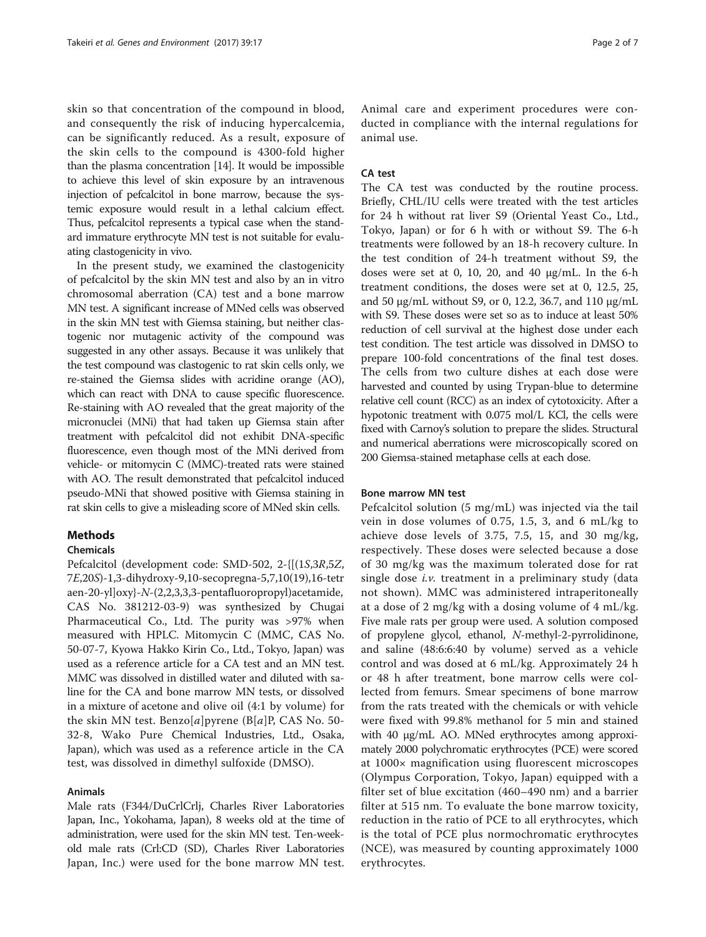skin so that concentration of the compound in blood, and consequently the risk of inducing hypercalcemia, can be significantly reduced. As a result, exposure of the skin cells to the compound is 4300-fold higher than the plasma concentration [\[14\]](#page-6-0). It would be impossible to achieve this level of skin exposure by an intravenous injection of pefcalcitol in bone marrow, because the systemic exposure would result in a lethal calcium effect. Thus, pefcalcitol represents a typical case when the standard immature erythrocyte MN test is not suitable for evaluating clastogenicity in vivo.

In the present study, we examined the clastogenicity of pefcalcitol by the skin MN test and also by an in vitro chromosomal aberration (CA) test and a bone marrow MN test. A significant increase of MNed cells was observed in the skin MN test with Giemsa staining, but neither clastogenic nor mutagenic activity of the compound was suggested in any other assays. Because it was unlikely that the test compound was clastogenic to rat skin cells only, we re-stained the Giemsa slides with acridine orange (AO), which can react with DNA to cause specific fluorescence. Re-staining with AO revealed that the great majority of the micronuclei (MNi) that had taken up Giemsa stain after treatment with pefcalcitol did not exhibit DNA-specific fluorescence, even though most of the MNi derived from vehicle- or mitomycin C (MMC)-treated rats were stained with AO. The result demonstrated that pefcalcitol induced pseudo-MNi that showed positive with Giemsa staining in rat skin cells to give a misleading score of MNed skin cells.

# **Methods**

## Chemicals

Pefcalcitol (development code: SMD-502, 2-{[(1S,3R,5Z, <sup>7</sup>E,20S)-1,3-dihydroxy-9,10-secopregna-5,7,10(19),16-tetr aen-20-yl]oxy}-N-(2,2,3,3,3-pentafluoropropyl)acetamide, CAS No. 381212-03-9) was synthesized by Chugai Pharmaceutical Co., Ltd. The purity was >97% when measured with HPLC. Mitomycin C (MMC, CAS No. 50-07-7, Kyowa Hakko Kirin Co., Ltd., Tokyo, Japan) was used as a reference article for a CA test and an MN test. MMC was dissolved in distilled water and diluted with saline for the CA and bone marrow MN tests, or dissolved in a mixture of acetone and olive oil (4:1 by volume) for the skin MN test. Benzo[a]pyrene (B[a]P, CAS No. 50-32-8, Wako Pure Chemical Industries, Ltd., Osaka, Japan), which was used as a reference article in the CA test, was dissolved in dimethyl sulfoxide (DMSO).

#### Animals

Male rats (F344/DuCrlCrlj, Charles River Laboratories Japan, Inc., Yokohama, Japan), 8 weeks old at the time of administration, were used for the skin MN test. Ten-weekold male rats (Crl:CD (SD), Charles River Laboratories Japan, Inc.) were used for the bone marrow MN test. Animal care and experiment procedures were conducted in compliance with the internal regulations for animal use.

## $C\Delta$  test

The CA test was conducted by the routine process. Briefly, CHL/IU cells were treated with the test articles for 24 h without rat liver S9 (Oriental Yeast Co., Ltd., Tokyo, Japan) or for 6 h with or without S9. The 6-h treatments were followed by an 18-h recovery culture. In the test condition of 24-h treatment without S9, the doses were set at 0, 10, 20, and 40  $\mu$ g/mL. In the 6-h treatment conditions, the doses were set at 0, 12.5, 25, and 50 μg/mL without S9, or 0, 12.2, 36.7, and 110 μg/mL with S9. These doses were set so as to induce at least 50% reduction of cell survival at the highest dose under each test condition. The test article was dissolved in DMSO to prepare 100-fold concentrations of the final test doses. The cells from two culture dishes at each dose were harvested and counted by using Trypan-blue to determine relative cell count (RCC) as an index of cytotoxicity. After a hypotonic treatment with 0.075 mol/L KCl, the cells were fixed with Carnoy's solution to prepare the slides. Structural and numerical aberrations were microscopically scored on 200 Giemsa-stained metaphase cells at each dose.

#### Bone marrow MN test

Pefcalcitol solution (5 mg/mL) was injected via the tail vein in dose volumes of 0.75, 1.5, 3, and 6 mL/kg to achieve dose levels of 3.75, 7.5, 15, and 30 mg/kg, respectively. These doses were selected because a dose of 30 mg/kg was the maximum tolerated dose for rat single dose  $i.\nu$ . treatment in a preliminary study (data not shown). MMC was administered intraperitoneally at a dose of 2 mg/kg with a dosing volume of 4 mL/kg. Five male rats per group were used. A solution composed of propylene glycol, ethanol, N-methyl-2-pyrrolidinone, and saline (48:6:6:40 by volume) served as a vehicle control and was dosed at 6 mL/kg. Approximately 24 h or 48 h after treatment, bone marrow cells were collected from femurs. Smear specimens of bone marrow from the rats treated with the chemicals or with vehicle were fixed with 99.8% methanol for 5 min and stained with 40 μg/mL AO. MNed erythrocytes among approximately 2000 polychromatic erythrocytes (PCE) were scored at 1000× magnification using fluorescent microscopes (Olympus Corporation, Tokyo, Japan) equipped with a filter set of blue excitation (460–490 nm) and a barrier filter at 515 nm. To evaluate the bone marrow toxicity, reduction in the ratio of PCE to all erythrocytes, which is the total of PCE plus normochromatic erythrocytes (NCE), was measured by counting approximately 1000 erythrocytes.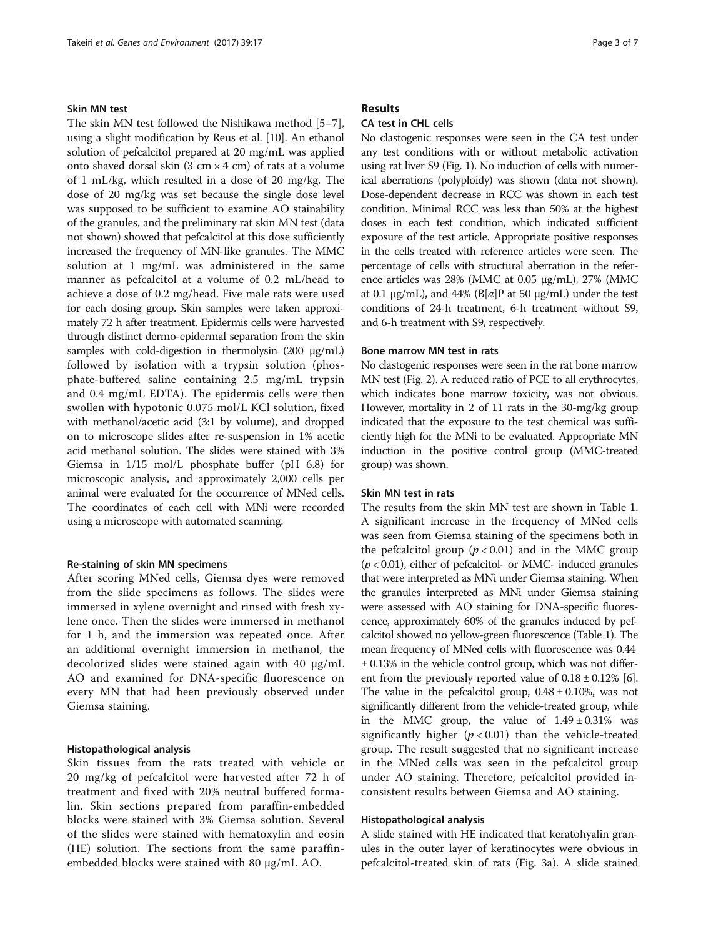## Skin MN test

The skin MN test followed the Nishikawa method [\[5](#page-6-0)–[7](#page-6-0)], using a slight modification by Reus et al. [\[10](#page-6-0)]. An ethanol solution of pefcalcitol prepared at 20 mg/mL was applied onto shaved dorsal skin  $(3 \text{ cm} \times 4 \text{ cm})$  of rats at a volume of 1 mL/kg, which resulted in a dose of 20 mg/kg. The dose of 20 mg/kg was set because the single dose level was supposed to be sufficient to examine AO stainability of the granules, and the preliminary rat skin MN test (data not shown) showed that pefcalcitol at this dose sufficiently increased the frequency of MN-like granules. The MMC solution at 1 mg/mL was administered in the same manner as pefcalcitol at a volume of 0.2 mL/head to achieve a dose of 0.2 mg/head. Five male rats were used for each dosing group. Skin samples were taken approximately 72 h after treatment. Epidermis cells were harvested through distinct dermo-epidermal separation from the skin samples with cold-digestion in thermolysin (200 μg/mL) followed by isolation with a trypsin solution (phosphate-buffered saline containing 2.5 mg/mL trypsin and 0.4 mg/mL EDTA). The epidermis cells were then swollen with hypotonic 0.075 mol/L KCl solution, fixed with methanol/acetic acid (3:1 by volume), and dropped on to microscope slides after re-suspension in 1% acetic acid methanol solution. The slides were stained with 3% Giemsa in 1/15 mol/L phosphate buffer (pH 6.8) for microscopic analysis, and approximately 2,000 cells per animal were evaluated for the occurrence of MNed cells. The coordinates of each cell with MNi were recorded using a microscope with automated scanning.

#### Re-staining of skin MN specimens

After scoring MNed cells, Giemsa dyes were removed from the slide specimens as follows. The slides were immersed in xylene overnight and rinsed with fresh xylene once. Then the slides were immersed in methanol for 1 h, and the immersion was repeated once. After an additional overnight immersion in methanol, the decolorized slides were stained again with 40 μg/mL AO and examined for DNA-specific fluorescence on every MN that had been previously observed under Giemsa staining.

## Histopathological analysis

Skin tissues from the rats treated with vehicle or 20 mg/kg of pefcalcitol were harvested after 72 h of treatment and fixed with 20% neutral buffered formalin. Skin sections prepared from paraffin-embedded blocks were stained with 3% Giemsa solution. Several of the slides were stained with hematoxylin and eosin (HE) solution. The sections from the same paraffinembedded blocks were stained with 80 μg/mL AO.

### Results

## CA test in CHL cells

No clastogenic responses were seen in the CA test under any test conditions with or without metabolic activation using rat liver S9 (Fig. [1](#page-3-0)). No induction of cells with numerical aberrations (polyploidy) was shown (data not shown). Dose-dependent decrease in RCC was shown in each test condition. Minimal RCC was less than 50% at the highest doses in each test condition, which indicated sufficient exposure of the test article. Appropriate positive responses in the cells treated with reference articles were seen. The percentage of cells with structural aberration in the reference articles was 28% (MMC at 0.05 μg/mL), 27% (MMC at 0.1 μg/mL), and 44% ( $B[a]P$  at 50 μg/mL) under the test conditions of 24-h treatment, 6-h treatment without S9, and 6-h treatment with S9, respectively.

#### Bone marrow MN test in rats

No clastogenic responses were seen in the rat bone marrow MN test (Fig. [2](#page-3-0)). A reduced ratio of PCE to all erythrocytes, which indicates bone marrow toxicity, was not obvious. However, mortality in 2 of 11 rats in the 30-mg/kg group indicated that the exposure to the test chemical was sufficiently high for the MNi to be evaluated. Appropriate MN induction in the positive control group (MMC-treated group) was shown.

#### Skin MN test in rats

The results from the skin MN test are shown in Table [1](#page-4-0). A significant increase in the frequency of MNed cells was seen from Giemsa staining of the specimens both in the pefcalcitol group  $(p < 0.01)$  and in the MMC group  $(p < 0.01)$ , either of pefcalcitol- or MMC- induced granules that were interpreted as MNi under Giemsa staining. When the granules interpreted as MNi under Giemsa staining were assessed with AO staining for DNA-specific fluorescence, approximately 60% of the granules induced by pefcalcitol showed no yellow-green fluorescence (Table [1](#page-4-0)). The mean frequency of MNed cells with fluorescence was 0.44 ± 0.13% in the vehicle control group, which was not different from the previously reported value of  $0.18 \pm 0.12\%$  [[6](#page-6-0)]. The value in the pefcalcitol group,  $0.48 \pm 0.10$ %, was not significantly different from the vehicle-treated group, while in the MMC group, the value of  $1.49 \pm 0.31\%$  was significantly higher  $(p < 0.01)$  than the vehicle-treated group. The result suggested that no significant increase in the MNed cells was seen in the pefcalcitol group under AO staining. Therefore, pefcalcitol provided inconsistent results between Giemsa and AO staining.

#### Histopathological analysis

A slide stained with HE indicated that keratohyalin granules in the outer layer of keratinocytes were obvious in pefcalcitol-treated skin of rats (Fig. [3a](#page-4-0)). A slide stained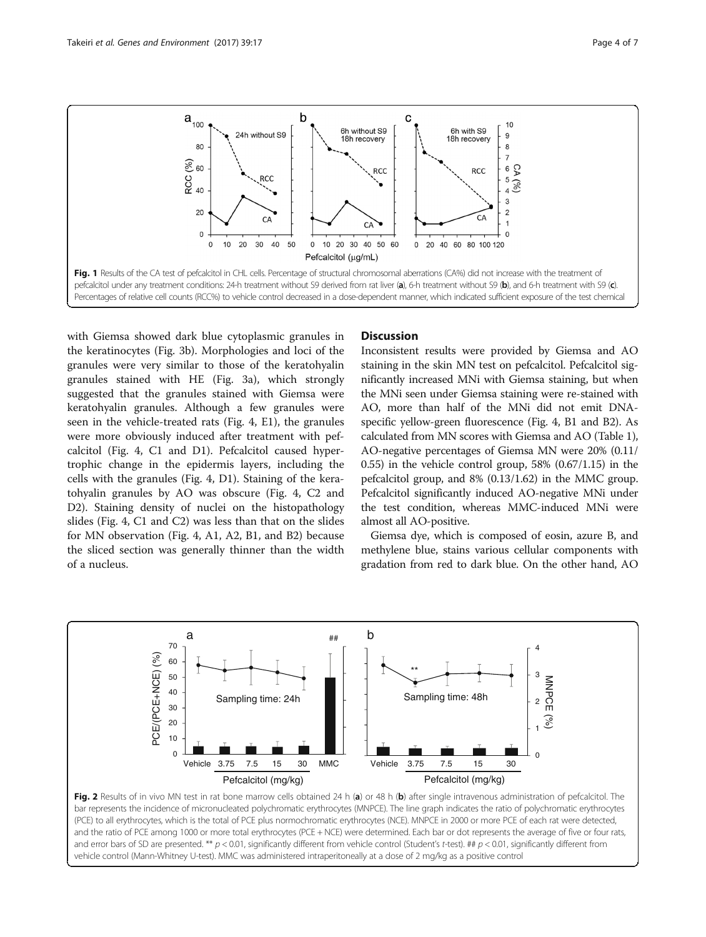<span id="page-3-0"></span>

with Giemsa showed dark blue cytoplasmic granules in the keratinocytes (Fig. [3b](#page-4-0)). Morphologies and loci of the granules were very similar to those of the keratohyalin granules stained with HE (Fig. [3a\)](#page-4-0), which strongly suggested that the granules stained with Giemsa were keratohyalin granules. Although a few granules were seen in the vehicle-treated rats (Fig. [4,](#page-5-0) E1), the granules were more obviously induced after treatment with pefcalcitol (Fig. [4](#page-5-0), C1 and D1). Pefcalcitol caused hypertrophic change in the epidermis layers, including the cells with the granules (Fig. [4](#page-5-0), D1). Staining of the keratohyalin granules by AO was obscure (Fig. [4,](#page-5-0) C2 and D2). Staining density of nuclei on the histopathology slides (Fig. [4,](#page-5-0) C1 and C2) was less than that on the slides for MN observation (Fig. [4,](#page-5-0) A1, A2, B1, and B2) because the sliced section was generally thinner than the width of a nucleus.

## **Discussion**

Inconsistent results were provided by Giemsa and AO staining in the skin MN test on pefcalcitol. Pefcalcitol significantly increased MNi with Giemsa staining, but when the MNi seen under Giemsa staining were re-stained with AO, more than half of the MNi did not emit DNAspecific yellow-green fluorescence (Fig. [4,](#page-5-0) B1 and B2). As calculated from MN scores with Giemsa and AO (Table [1](#page-4-0)), AO-negative percentages of Giemsa MN were 20% (0.11/ 0.55) in the vehicle control group,  $58\%$   $(0.67/1.15)$  in the pefcalcitol group, and 8% (0.13/1.62) in the MMC group. Pefcalcitol significantly induced AO-negative MNi under the test condition, whereas MMC-induced MNi were almost all AO-positive.

Giemsa dye, which is composed of eosin, azure B, and methylene blue, stains various cellular components with gradation from red to dark blue. On the other hand, AO



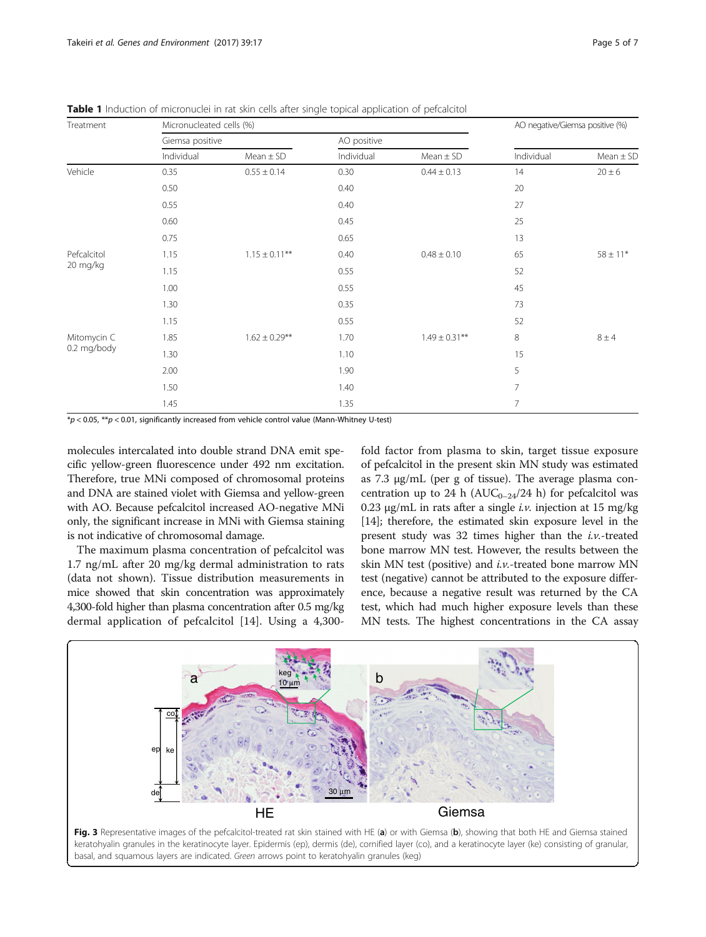| Treatment                  | Micronucleated cells (%) |                    |             |                    | AO negative/Giemsa positive (%) |               |
|----------------------------|--------------------------|--------------------|-------------|--------------------|---------------------------------|---------------|
|                            | Giemsa positive          |                    | AO positive |                    |                                 |               |
|                            | Individual               | $Mean \pm SD$      | Individual  | $Mean \pm SD$      | Individual                      | $Mean \pm SD$ |
| Vehicle                    | 0.35                     | $0.55 \pm 0.14$    | 0.30        | $0.44 \pm 0.13$    | 14                              | $20 \pm 6$    |
|                            | 0.50                     |                    | 0.40        |                    | 20                              |               |
|                            | 0.55                     |                    | 0.40        |                    | 27                              |               |
|                            | 0.60                     |                    | 0.45        |                    | 25                              |               |
|                            | 0.75                     |                    | 0.65        |                    | 13                              |               |
| Pefcalcitol<br>20 mg/kg    | 1.15                     | $1.15 \pm 0.11***$ | 0.40        | $0.48 \pm 0.10$    | 65                              | $58 \pm 11*$  |
|                            | 1.15                     |                    | 0.55        |                    | 52                              |               |
|                            | 1.00                     |                    | 0.55        |                    | 45                              |               |
|                            | 1.30                     |                    | 0.35        |                    | 73                              |               |
|                            | 1.15                     |                    | 0.55        |                    | 52                              |               |
| Mitomycin C<br>0.2 mg/body | 1.85                     | $1.62 \pm 0.29***$ | 1.70        | $1.49 \pm 0.31***$ | 8                               | $8 \pm 4$     |
|                            | 1.30                     |                    | 1.10        |                    | 15                              |               |
|                            | 2.00                     |                    | 1.90        |                    | 5                               |               |
|                            | 1.50                     |                    | 1.40        |                    | $\overline{7}$                  |               |
|                            | 1.45                     |                    | 1.35        |                    | $\overline{7}$                  |               |

<span id="page-4-0"></span>**Table 1** Induction of micronuclei in rat skin cells after single topical application of pefcalcitol

 $*p$  < 0.05,  $**p$  < 0.01, significantly increased from vehicle control value (Mann-Whitney U-test)

molecules intercalated into double strand DNA emit specific yellow-green fluorescence under 492 nm excitation. Therefore, true MNi composed of chromosomal proteins and DNA are stained violet with Giemsa and yellow-green with AO. Because pefcalcitol increased AO-negative MNi only, the significant increase in MNi with Giemsa staining is not indicative of chromosomal damage.

The maximum plasma concentration of pefcalcitol was 1.7 ng/mL after 20 mg/kg dermal administration to rats (data not shown). Tissue distribution measurements in mice showed that skin concentration was approximately 4,300-fold higher than plasma concentration after 0.5 mg/kg dermal application of pefcalcitol [[14\]](#page-6-0). Using a 4,300fold factor from plasma to skin, target tissue exposure of pefcalcitol in the present skin MN study was estimated as 7.3 μg/mL (per g of tissue). The average plasma concentration up to 24 h ( $AUC_{0-24}/24$  h) for pefcalcitol was 0.23 μg/mL in rats after a single *i.v.* injection at 15 mg/kg [[14](#page-6-0)]; therefore, the estimated skin exposure level in the present study was 32 times higher than the i.v.-treated bone marrow MN test. However, the results between the skin MN test (positive) and  $i.\nu$ -treated bone marrow MN test (negative) cannot be attributed to the exposure difference, because a negative result was returned by the CA test, which had much higher exposure levels than these MN tests. The highest concentrations in the CA assay



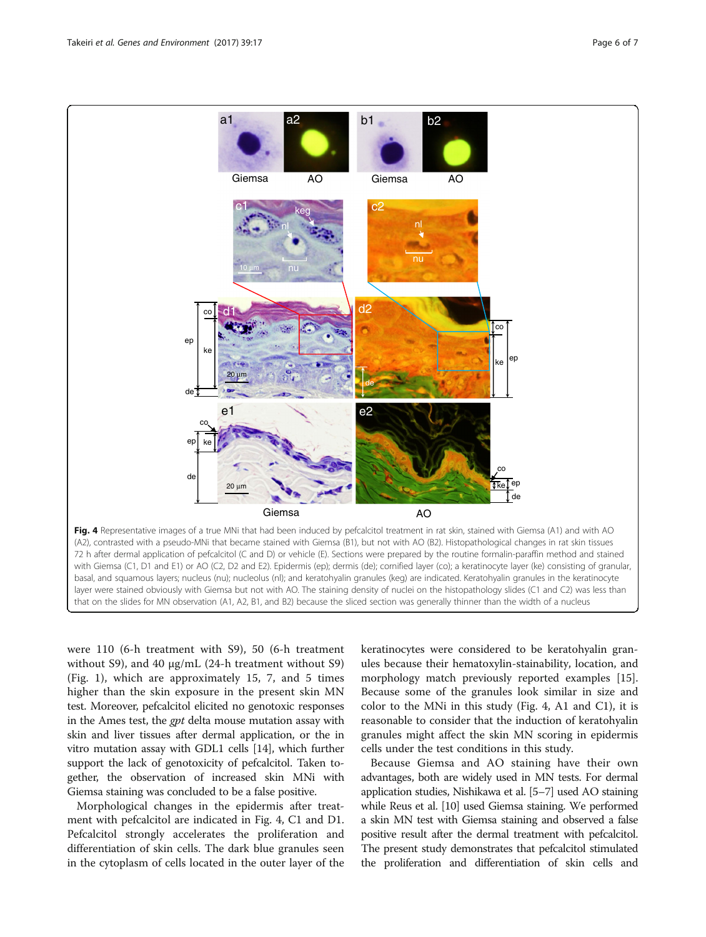<span id="page-5-0"></span>

were 110 (6-h treatment with S9), 50 (6-h treatment without S9), and 40 μg/mL (24-h treatment without S9) (Fig. [1\)](#page-3-0), which are approximately 15, 7, and 5 times higher than the skin exposure in the present skin MN test. Moreover, pefcalcitol elicited no genotoxic responses in the Ames test, the gpt delta mouse mutation assay with skin and liver tissues after dermal application, or the in vitro mutation assay with GDL1 cells [[14](#page-6-0)], which further support the lack of genotoxicity of pefcalcitol. Taken together, the observation of increased skin MNi with Giemsa staining was concluded to be a false positive.

Morphological changes in the epidermis after treatment with pefcalcitol are indicated in Fig. 4, C1 and D1. Pefcalcitol strongly accelerates the proliferation and differentiation of skin cells. The dark blue granules seen in the cytoplasm of cells located in the outer layer of the keratinocytes were considered to be keratohyalin granules because their hematoxylin-stainability, location, and morphology match previously reported examples [\[15](#page-6-0)]. Because some of the granules look similar in size and color to the MNi in this study (Fig. 4, A1 and C1), it is reasonable to consider that the induction of keratohyalin granules might affect the skin MN scoring in epidermis cells under the test conditions in this study.

Because Giemsa and AO staining have their own advantages, both are widely used in MN tests. For dermal application studies, Nishikawa et al. [\[5](#page-6-0)–[7\]](#page-6-0) used AO staining while Reus et al. [\[10\]](#page-6-0) used Giemsa staining. We performed a skin MN test with Giemsa staining and observed a false positive result after the dermal treatment with pefcalcitol. The present study demonstrates that pefcalcitol stimulated the proliferation and differentiation of skin cells and